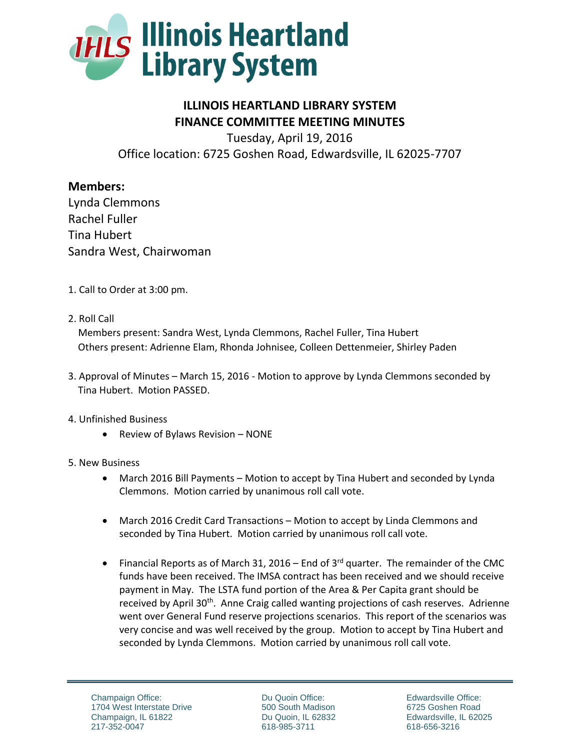

## **ILLINOIS HEARTLAND LIBRARY SYSTEM FINANCE COMMITTEE MEETING MINUTES**

Tuesday, April 19, 2016 Office location: 6725 Goshen Road, Edwardsville, IL 62025-7707

## **Members:**

Lynda Clemmons Rachel Fuller Tina Hubert Sandra West, Chairwoman

- 1. Call to Order at 3:00 pm.
- 2. Roll Call

 Members present: Sandra West, Lynda Clemmons, Rachel Fuller, Tina Hubert Others present: Adrienne Elam, Rhonda Johnisee, Colleen Dettenmeier, Shirley Paden

3. Approval of Minutes – March 15, 2016 - Motion to approve by Lynda Clemmons seconded by Tina Hubert. Motion PASSED.

## 4. Unfinished Business

 $\bullet$  Review of Bylaws Revision – NONE

## 5. New Business

- March 2016 Bill Payments Motion to accept by Tina Hubert and seconded by Lynda Clemmons. Motion carried by unanimous roll call vote.
- March 2016 Credit Card Transactions Motion to accept by Linda Clemmons and seconded by Tina Hubert. Motion carried by unanimous roll call vote.
- Financial Reports as of March 31, 2016 End of  $3<sup>rd</sup>$  quarter. The remainder of the CMC funds have been received. The IMSA contract has been received and we should receive payment in May. The LSTA fund portion of the Area & Per Capita grant should be received by April 30<sup>th</sup>. Anne Craig called wanting projections of cash reserves. Adrienne went over General Fund reserve projections scenarios. This report of the scenarios was very concise and was well received by the group. Motion to accept by Tina Hubert and seconded by Lynda Clemmons. Motion carried by unanimous roll call vote.

Du Quoin Office: 500 South Madison Du Quoin, IL 62832 618-985-3711

Edwardsville Office: 6725 Goshen Road Edwardsville, IL 62025 618-656-3216